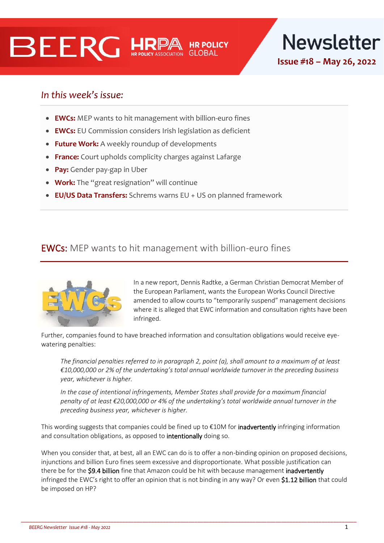



**Issue #18 – May 26, 2022**

## In this week's issue:

- **EWCs:** MEP wants to hit management with billion-euro fines
- **EWCs:** EU Commission considers Irish legislation as deficient
- **Future Work:** A weekly roundup of developments
- **France:** Court upholds complicity charges against Lafarge
- **Pay:** Gender pay-gap in Uber
- **Work:** The "great resignation" will continue
- **EU/US Data Transfers:** Schrems warns EU + US on planned framework

## EWCs: MEP wants to hit management with billion-euro fines



In a new report, Dennis Radtke, a German Christian Democrat Member of the European Parliament, wants the European Works Council Directive amended to allow courts to "temporarily suspend" management decisions where it is alleged that EWC information and consultation rights have been infringed.

Further, companies found to have breached information and consultation obligations would receive eyewatering penalties:

*The financial penalties referred to in paragraph 2, point (a), shall amount to a maximum of at least €10,000,000 or 2% of the undertaking's total annual worldwide turnover in the preceding business year, whichever is higher.* 

*In the case of intentional infringements, Member States shall provide for a maximum financial penalty of at least €20,000,000 or 4% of the undertaking's total worldwide annual turnover in the preceding business year, whichever is higher.*

This wording suggests that companies could be fined up to  $\epsilon$ 10M for **inadvertently** infringing information and consultation obligations, as opposed to intentionally doing so.

When you consider that, at best, all an EWC can do is to offer a non-binding opinion on proposed decisions, injunctions and billion Euro fines seem excessive and disproportionate. What possible justification can there be for the \$9.4 billion fine that Amazon could be hit with because management inadvertently infringed the EWC's right to offer an opinion that is not binding in any way? Or even \$1.12 billion that could be imposed on HP?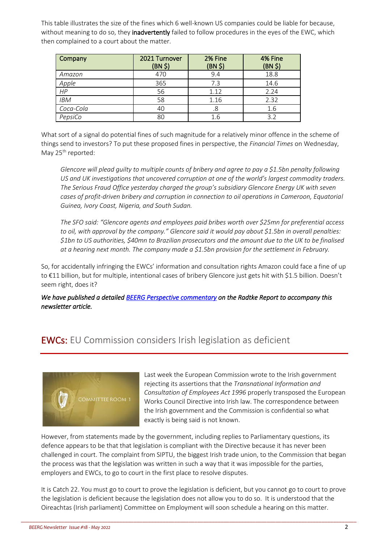This table illustrates the size of the fines which 6 well-known US companies could be liable for because, without meaning to do so, they inadvertently failed to follow procedures in the eyes of the EWC, which then complained to a court about the matter.

| Company    | 2021 Turnover<br>(BN \$) | 2% Fine<br>$(BN, \xi)$ | 4% Fine<br>(BN <sub>5</sub> ) |
|------------|--------------------------|------------------------|-------------------------------|
| Amazon     | 470                      | 9.4                    | 18.8                          |
| Apple      | 365                      | 7.3                    | 14.6                          |
| HP         | 56                       | 1.12                   | 2.24                          |
| <b>IBM</b> | 58                       | 1.16                   | 2.32                          |
| Coca-Cola  | 40                       | .8                     | 1.6                           |
| PepsiCo    | 80                       | 1.6                    | 3.2                           |

What sort of a signal do potential fines of such magnitude for a relatively minor offence in the scheme of things send to investors? To put these proposed fines in perspective, the *Financial Times* on Wednesday, May 25<sup>th</sup> reported:

*Glencore will plead guilty to multiple counts of bribery and agree to pay a \$1.5bn penalty following US and UK investigations that uncovered corruption at one of the world's largest commodity traders. The Serious Fraud Office yesterday charged the group's subsidiary Glencore Energy UK with seven cases of profit-driven bribery and corruption in connection to oil operations in Cameroon, Equatorial Guinea, Ivory Coast, Nigeria, and South Sudan.*

*The SFO said: "Glencore agents and employees paid bribes worth over \$25mn for preferential access to oil, with approval by the company." Glencore said it would pay about \$1.5bn in overall penalties: \$1bn to US authorities, \$40mn to Brazilian prosecutors and the amount due to the UK to be finalised at a hearing next month. The company made a \$1.5bn provision for the settlement in February.*

So, for accidentally infringing the EWCs' information and consultation rights Amazon could face a fine of up to €11 billion, but for multiple, intentional cases of bribery Glencore just gets hit with \$1.5 billion. Doesn't seem right, does it?

*We have published a detaile[d BEERG Perspective commentary](https://hrpolicy.org/getmedia/92e727ba-1d3a-4d6b-8d8b-dca1f0b66763/BEERG-Perspective-Radtke-Report-Commentary-May-2022.pdf) on the Radtke Report to accompany this newsletter article.*

# EWCs: EU Commission considers Irish legislation as deficient



Last week the European Commission wrote to the Irish government rejecting its assertions that the *Transnational Information and Consultation of Employees Act 1996* properly transposed the European Works Council Directive into Irish law. The correspondence between the Irish government and the Commission is confidential so what exactly is being said is not known.

However, from statements made by the government, including replies to Parliamentary questions, its defence appears to be that that legislation is compliant with the Directive because it has never been challenged in court. The complaint from SIPTU, the biggest Irish trade union, to the Commission that began the process was that the legislation was written in such a way that it was impossible for the parties, employers and EWCs, to go to court in the first place to resolve disputes.

It is Catch 22. You must go to court to prove the legislation is deficient, but you cannot go to court to prove the legislation is deficient because the legislation does not allow you to do so. It is understood that the Oireachtas (Irish parliament) Committee on Employment will soon schedule a hearing on this matter.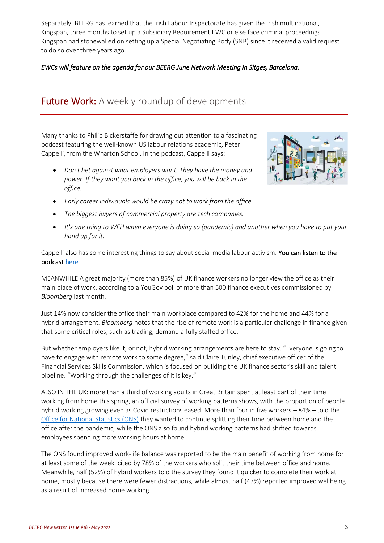Separately, BEERG has learned that the Irish Labour Inspectorate has given the Irish multinational, Kingspan, three months to set up a Subsidiary Requirement EWC or else face criminal proceedings. Kingspan had stonewalled on setting up a Special Negotiating Body (SNB) since it received a valid request to do so over three years ago.

### *EWCs will feature on the agenda for our BEERG June Network Meeting in Sitges, Barcelona.*

# Future Work: A weekly roundup of developments

Many thanks to Philip Bickerstaffe for drawing out attention to a fascinating podcast featuring the well-known US labour relations academic, Peter Cappelli, from the Wharton School. In the podcast, Cappelli says:

• *Don't bet against what employers want. They have the money and power. If they want you back in the office, you will be back in the office.*



- *Early career individuals would be crazy not to work from the office.*
- *The biggest buyers of commercial property are tech companies.*
- *It's one thing to WFH when everyone is doing so (pandemic) and another when you have to put your hand up for it.*

Cappelli also has some interesting things to say about social media labour activism. You can listen to the podcast [here](https://www.myhrfuture.com/digital-hr-leaders-podcast/what-is-the-impact-of-hybrid-working-on-employees-and-employers) 

MEANWHILE A great majority (more than 85%) of UK finance workers no longer view the office as their main place of work, according to a YouGov poll of more than 500 finance executives commissioned by *Bloomberg* last month.

Just 14% now consider the office their main workplace compared to 42% for the home and 44% for a hybrid arrangement. *Bloomberg* notes that the rise of remote work is a particular challenge in finance given that some critical roles, such as trading, demand a fully staffed office.

But whether employers like it, or not, hybrid working arrangements are here to stay. "Everyone is going to have to engage with remote work to some degree," said Claire Tunley, chief executive officer of the Financial Services Skills Commission, which is focused on building the UK finance sector's skill and talent pipeline. "Working through the challenges of it is key."

ALSO IN THE UK: more than a third of working adults in Great Britain spent at least part of their time working from home this spring, an official survey of working patterns shows, with the proportion of people hybrid working growing even as Covid restrictions eased. More than four in five workers – 84% – told the [Office for National Statistics \(ONS\)](https://www.ons.gov.uk/employmentandlabourmarket/peopleinwork/employmentandemployeetypes/articles/ishybridworkingheretostay/2022-05-23) they wanted to continue splitting their time between home and the office after the pandemic, while the ONS also found hybrid working patterns had shifted towards employees spending more working hours at home.

The ONS found improved work-life balance was reported to be the main benefit of working from home for at least some of the week, cited by 78% of the workers who split their time between office and home. Meanwhile, half (52%) of hybrid workers told the survey they found it quicker to complete their work at home, mostly because there were fewer distractions, while almost half (47%) reported improved wellbeing as a result of increased home working.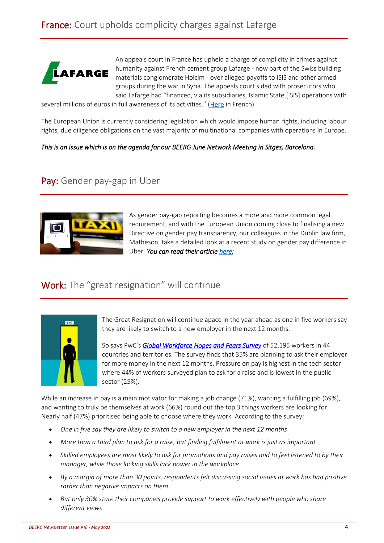

An appeals court in France has upheld a charge of complicity in crimes against humanity against French cement group Lafarge - now part of the Swiss building materials conglomerate Holcim - over alleged payoffs to ISIS and other armed groups during the war in Syria. The appeals court sided with prosecutors who said Lafarge had "financed, via its subsidiaries, Islamic State [ISIS] operations with

several millions of euros in full awareness of its activities." ([Here](https://www.lesechos.fr/industrie-services/immobilier-btp/la-justice-confirme-la-mise-en-examen-de-lafarge-pour-complicite-de-crimes-contre-lhumanite-en-syrie-1407891) in French).

The European Union is currently considering legislation which would impose human rights, including labour rights, due diligence obligations on the vast majority of multinational companies with operations in Europe.

#### *This is an issue which is on the agenda for our BEERG June Network Meeting in Sitges, Barcelona.*

## Pay: Gender pay-gap in Uber



As gender pay-gap reporting becomes a more and more common legal requirement, and with the European Union coming close to finalising a new Directive on gender pay transparency, our colleagues in the Dublin law firm, Matheson, take a detailed look at a recent study on gender pay difference in Uber. *You can read their article [here;](https://www.matheson.com/insights/detail/what-drives-the-gender-pay-gap---lessons-from-the-uber-study)* 

### Work: The "great resignation" will continue



The Great Resignation will continue apace in the year ahead as one in five workers say they are likely to switch to a new employer in the next 12 months.

So says PwC's *[Global Workforce Hopes and Fears](https://www.pwc.com/workforcehopesandfears) Survey* of 52,195 workers in 44 countries and territories. The survey finds that 35% are planning to ask their employer for more money in the next 12 months. Pressure on pay is highest in the tech sector where 44% of workers surveyed plan to ask for a raise and is lowest in the public sector (25%).

While an increase in pay is a main motivator for making a job change (71%), wanting a fulfilling job (69%), and wanting to truly be themselves at work (66%) round out the top 3 things workers are looking for. Nearly half (47%) prioritised being able to choose where they work. According to the survey:

- *One in five say they are likely to switch to a new employer in the next 12 months*
- *More than a third plan to ask for a raise, but finding fulfilment at work is just as important*
- *Skilled employees are most likely to ask for promotions and pay raises and to feel listened to by their manager, while those lacking skills lack power in the workplace*
- *By a margin of more than 30 points, respondents felt discussing social issues at work has had positive rather than negative impacts on them*
- *But only 30% state their companies provide support to work effectively with people who share different views*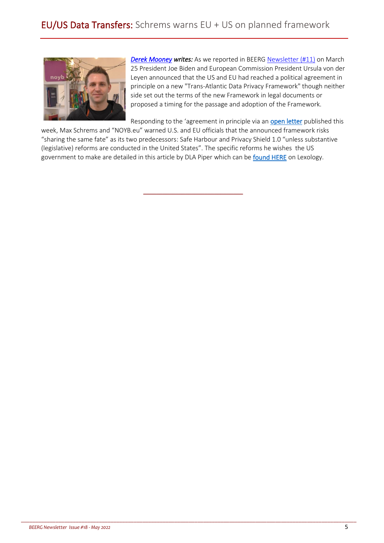

*[Derek Mooney](http://www.derekmooney.ie/) writes:* As we reported in BEERG [Newsletter \(#11\)](https://hrpolicy.org/getmedia/a1555d3f-7b9e-47d8-b6c6-b20ad02fe462/BEERG-Newsletter-No-11-2022.pdf) on March 25 President Joe Biden and European Commission President Ursula von der Leyen announced that the US and EU had reached a political agreement in principle on a new "Trans-Atlantic Data Privacy Framework" though neither side set out the terms of the new Framework in legal documents or proposed a timing for the passage and adoption of the Framework.

Responding to the 'agreement in principle via an [open letter](https://noyb.eu/sites/default/files/2022-05/open_letter_EU-US_agreement.pdf) published this

week, Max Schrems and "NOYB.eu" warned U.S. and EU officials that the announced framework risks "sharing the same fate" as its two predecessors: Safe Harbour and Privacy Shield 1.0 "unless substantive (legislative) reforms are conducted in the United States". The specific reforms he wishes the US government to make are detailed in this article by DLA Piper which can be [found HERE](https://www.lexology.com/library/detail.aspx?g=2462d933-82d9-44db-ae44-83c447a4b4bb) on Lexology.

\_\_\_\_\_\_\_\_\_\_\_\_\_\_\_\_\_\_\_\_\_\_\_\_\_\_\_\_\_\_\_